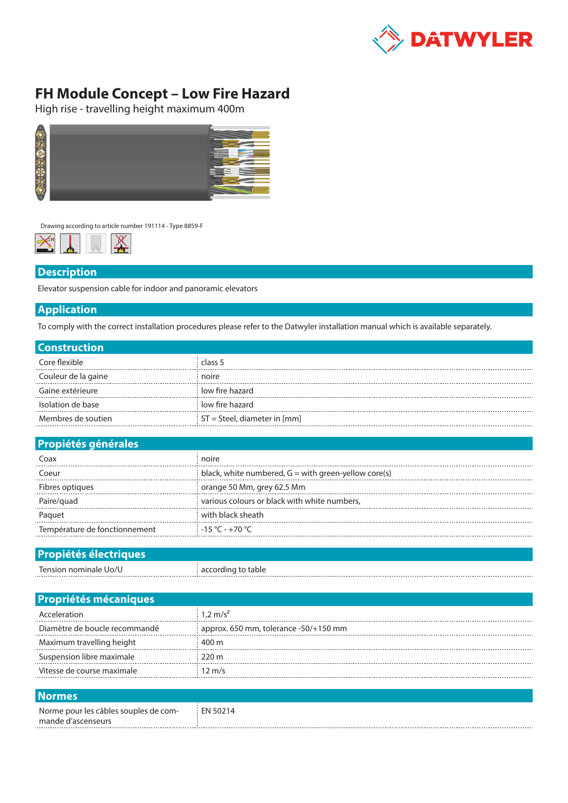

## **FH Module Concept – Low Fire Hazard**

High rise - travelling height maximum 400m



Drawing according to article number 191114 - Type 8859-F



## **Description**

Elevator suspension cable for indoor and panoramic elevators

## **Application**

To comply with the correct installation procedures please refer to the Datwyler installation manual which is available separately.

| <b>Construction</b> |                                |  |  |  |
|---------------------|--------------------------------|--|--|--|
| Core flexible       | class 5                        |  |  |  |
| Couleur de la gaine | noire                          |  |  |  |
| Gaine extérieure    | low fire hazard                |  |  |  |
| Isolation de base   | low fire hazard                |  |  |  |
| Membres de soutien  | $ST =$ Steel, diameter in [mm] |  |  |  |

| <b>Propiétés générales</b>    |                                                        |  |  |  |
|-------------------------------|--------------------------------------------------------|--|--|--|
| Coax                          | noire                                                  |  |  |  |
| Coeur                         | black, white numbered, $G =$ with green-yellow core(s) |  |  |  |
| Fibres optiques               | orange 50 Mm, grey 62.5 Mm                             |  |  |  |
| Paire/guad                    | various colours or black with white numbers,           |  |  |  |
| Paguet                        | with black sheath                                      |  |  |  |
| Température de fonctionnement | $-15^{\circ}$ C - +70 $^{\circ}$ C                     |  |  |  |

## **Propiétés électriques** Tension nominale Uo/U according to table

| <b>Propriétés mécaniques</b>  |                                       |  |  |  |
|-------------------------------|---------------------------------------|--|--|--|
| Acceleration                  | $1.2 \text{ m/s}^2$                   |  |  |  |
| Diamètre de boucle recommandé | approx. 650 mm, tolerance -50/+150 mm |  |  |  |
| Maximum travelling height     | 400 m                                 |  |  |  |
| Suspension libre maximale     | $220 \text{ m}$                       |  |  |  |
| Vitesse de course maximale    | $12 \text{ m/s}$                      |  |  |  |
|                               |                                       |  |  |  |
|                               |                                       |  |  |  |

| ________                              |          |
|---------------------------------------|----------|
| Norme pour les câbles souples de com- | EN 50214 |
| mande d'ascenseurs                    |          |